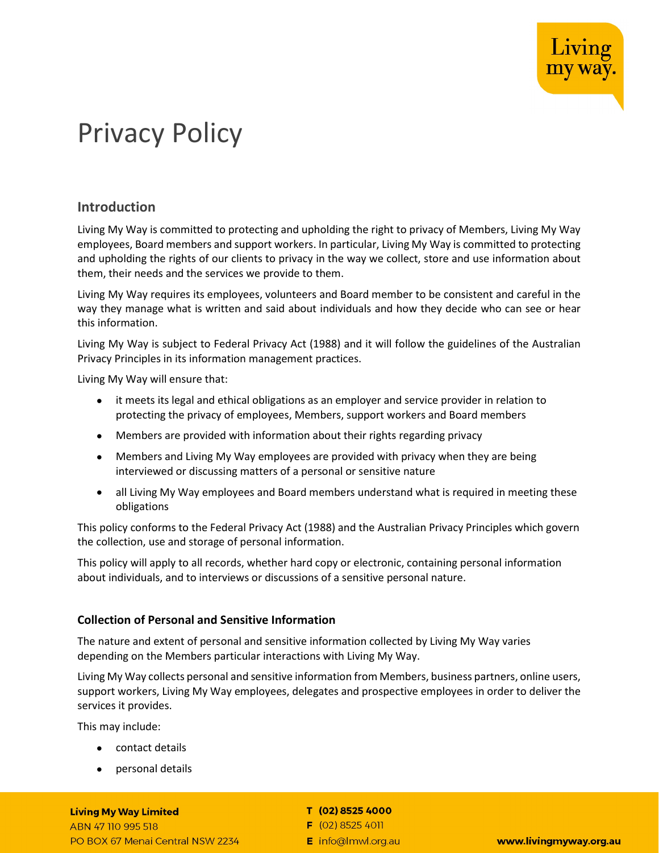

# Privacy Policy

# Introduction

Living My Way is committed to protecting and upholding the right to privacy of Members, Living My Way employees, Board members and support workers. In particular, Living My Way is committed to protecting and upholding the rights of our clients to privacy in the way we collect, store and use information about them, their needs and the services we provide to them.

Living My Way requires its employees, volunteers and Board member to be consistent and careful in the way they manage what is written and said about individuals and how they decide who can see or hear this information.

Living My Way is subject to Federal Privacy Act (1988) and it will follow the guidelines of the Australian Privacy Principles in its information management practices.

Living My Way will ensure that:

- it meets its legal and ethical obligations as an employer and service provider in relation to protecting the privacy of employees, Members, support workers and Board members
- Members are provided with information about their rights regarding privacy
- Members and Living My Way employees are provided with privacy when they are being interviewed or discussing matters of a personal or sensitive nature
- all Living My Way employees and Board members understand what is required in meeting these obligations

This policy conforms to the Federal Privacy Act (1988) and the Australian Privacy Principles which govern the collection, use and storage of personal information.

This policy will apply to all records, whether hard copy or electronic, containing personal information about individuals, and to interviews or discussions of a sensitive personal nature.

## Collection of Personal and Sensitive Information

The nature and extent of personal and sensitive information collected by Living My Way varies depending on the Members particular interactions with Living My Way.

Living My Way collects personal and sensitive information from Members, business partners, online users, support workers, Living My Way employees, delegates and prospective employees in order to deliver the services it provides.

This may include:

- contact details
- personal details

#### **Living My Way Limited**

ABN 47 110 995 518 PO BOX 67 Menai Central NSW 2234

#### T (02) 8525 4000

 $F(02)85254011$ 

E info@lmwl.org.au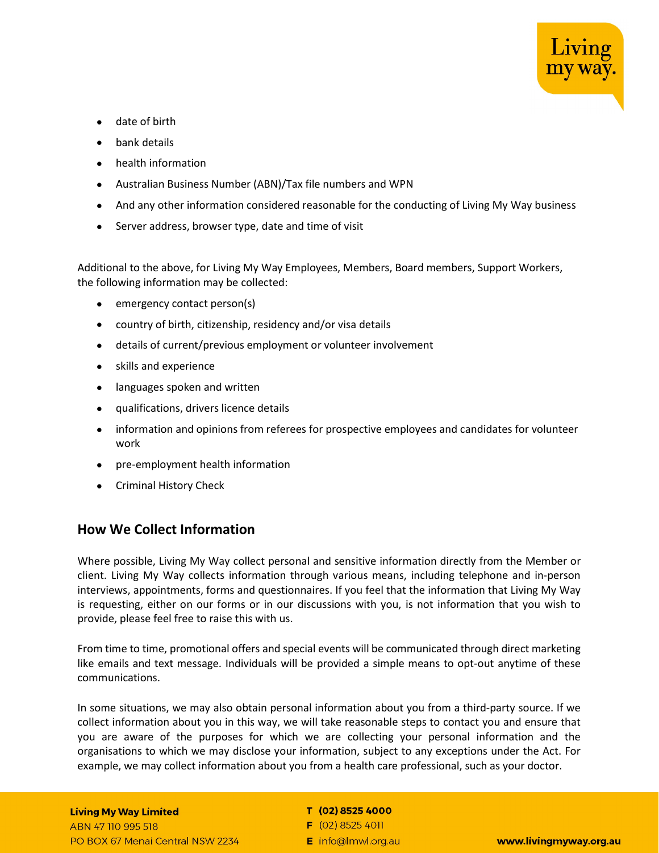

- date of birth
- bank details
- health information
- Australian Business Number (ABN)/Tax file numbers and WPN
- And any other information considered reasonable for the conducting of Living My Way business
- Server address, browser type, date and time of visit

Additional to the above, for Living My Way Employees, Members, Board members, Support Workers, the following information may be collected:

- emergency contact person(s)
- country of birth, citizenship, residency and/or visa details
- details of current/previous employment or volunteer involvement
- skills and experience
- languages spoken and written
- qualifications, drivers licence details
- information and opinions from referees for prospective employees and candidates for volunteer work
- pre-employment health information
- **•** Criminal History Check

## How We Collect Information

Where possible, Living My Way collect personal and sensitive information directly from the Member or client. Living My Way collects information through various means, including telephone and in-person interviews, appointments, forms and questionnaires. If you feel that the information that Living My Way is requesting, either on our forms or in our discussions with you, is not information that you wish to provide, please feel free to raise this with us.

From time to time, promotional offers and special events will be communicated through direct marketing like emails and text message. Individuals will be provided a simple means to opt-out anytime of these communications.

In some situations, we may also obtain personal information about you from a third-party source. If we collect information about you in this way, we will take reasonable steps to contact you and ensure that you are aware of the purposes for which we are collecting your personal information and the organisations to which we may disclose your information, subject to any exceptions under the Act. For example, we may collect information about you from a health care professional, such as your doctor.

### **Living My Way Limited**

ABN 47 110 995 518 PO BOX 67 Menai Central NSW 2234

### T (02) 8525 4000

- $F(02)85254011$
- E info@lmwl.org.au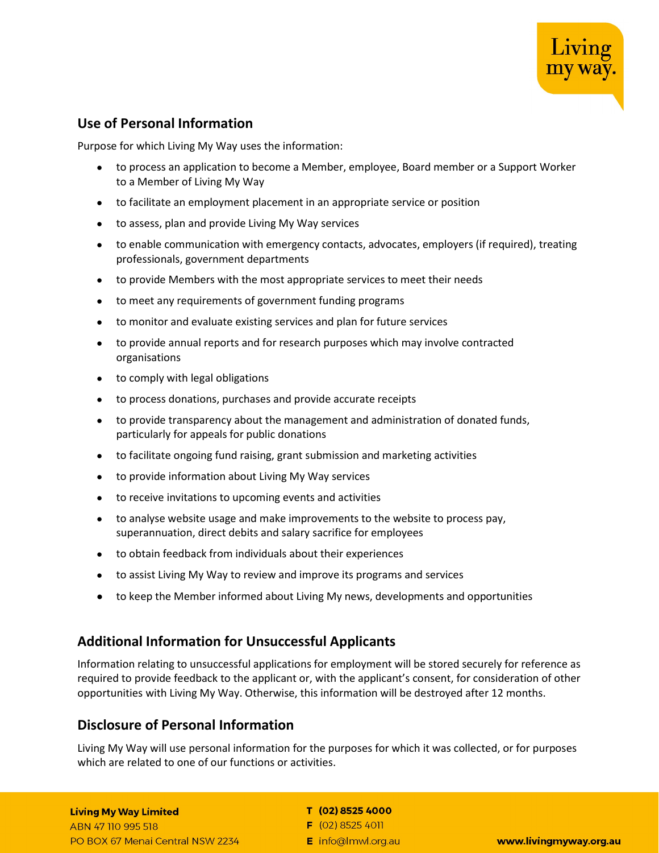

# Use of Personal Information

Purpose for which Living My Way uses the information:

- to process an application to become a Member, employee, Board member or a Support Worker to a Member of Living My Way
- to facilitate an employment placement in an appropriate service or position
- to assess, plan and provide Living My Way services
- to enable communication with emergency contacts, advocates, employers (if required), treating professionals, government departments
- to provide Members with the most appropriate services to meet their needs
- to meet any requirements of government funding programs
- to monitor and evaluate existing services and plan for future services
- to provide annual reports and for research purposes which may involve contracted organisations
- to comply with legal obligations
- to process donations, purchases and provide accurate receipts
- to provide transparency about the management and administration of donated funds, particularly for appeals for public donations
- to facilitate ongoing fund raising, grant submission and marketing activities
- to provide information about Living My Way services
- to receive invitations to upcoming events and activities
- to analyse website usage and make improvements to the website to process pay, superannuation, direct debits and salary sacrifice for employees
- to obtain feedback from individuals about their experiences
- to assist Living My Way to review and improve its programs and services
- to keep the Member informed about Living My news, developments and opportunities

## Additional Information for Unsuccessful Applicants

Information relating to unsuccessful applications for employment will be stored securely for reference as required to provide feedback to the applicant or, with the applicant's consent, for consideration of other opportunities with Living My Way. Otherwise, this information will be destroyed after 12 months.

## Disclosure of Personal Information

Living My Way will use personal information for the purposes for which it was collected, or for purposes which are related to one of our functions or activities.

## **Living My Way Limited**

ABN 47 110 995 518 PO BOX 67 Menai Central NSW 2234

#### T (02) 8525 4000

- $F(02)85254011$
- E info@lmwl.org.au

www.livingmyway.org.au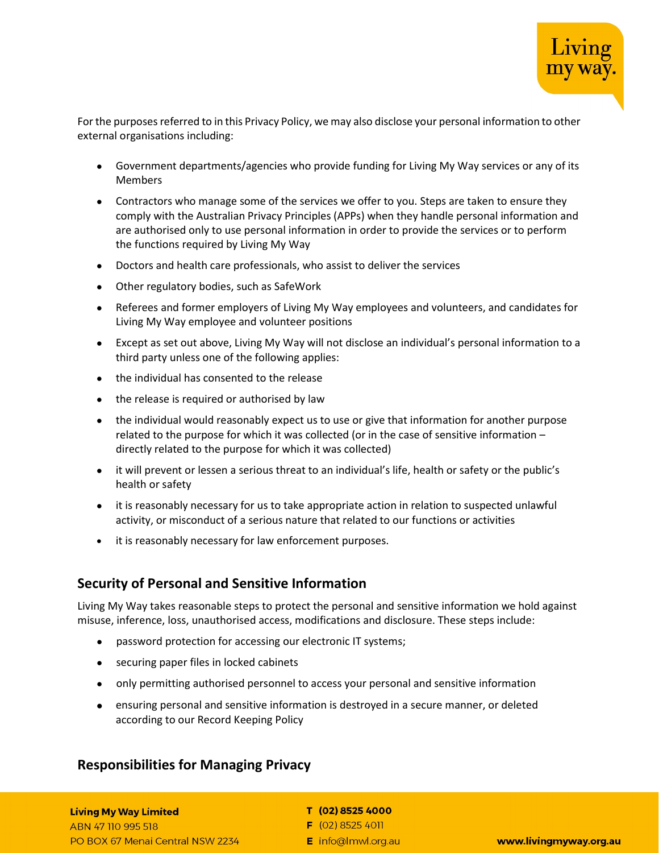

For the purposes referred to in this Privacy Policy, we may also disclose your personal information to other external organisations including:

- Government departments/agencies who provide funding for Living My Way services or any of its Members
- Contractors who manage some of the services we offer to you. Steps are taken to ensure they comply with the Australian Privacy Principles (APPs) when they handle personal information and are authorised only to use personal information in order to provide the services or to perform the functions required by Living My Way
- Doctors and health care professionals, who assist to deliver the services
- Other regulatory bodies, such as SafeWork
- Referees and former employers of Living My Way employees and volunteers, and candidates for Living My Way employee and volunteer positions
- Except as set out above, Living My Way will not disclose an individual's personal information to a third party unless one of the following applies:
- the individual has consented to the release
- the release is required or authorised by law
- the individual would reasonably expect us to use or give that information for another purpose related to the purpose for which it was collected (or in the case of sensitive information – directly related to the purpose for which it was collected)
- it will prevent or lessen a serious threat to an individual's life, health or safety or the public's health or safety
- it is reasonably necessary for us to take appropriate action in relation to suspected unlawful activity, or misconduct of a serious nature that related to our functions or activities
- it is reasonably necessary for law enforcement purposes.

## Security of Personal and Sensitive Information

Living My Way takes reasonable steps to protect the personal and sensitive information we hold against misuse, inference, loss, unauthorised access, modifications and disclosure. These steps include:

- password protection for accessing our electronic IT systems;
- securing paper files in locked cabinets
- only permitting authorised personnel to access your personal and sensitive information
- ensuring personal and sensitive information is destroyed in a secure manner, or deleted according to our Record Keeping Policy

## Responsibilities for Managing Privacy

#### **Living My Way Limited**

ABN 47 110 995 518 PO BOX 67 Menai Central NSW 2234

#### T (02) 8525 4000

 $F(02)85254011$ 

E info@lmwl.org.au